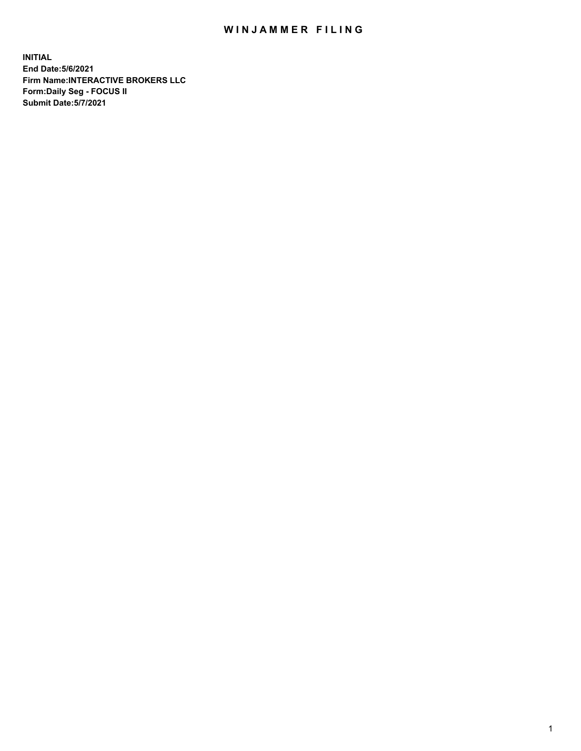## WIN JAMMER FILING

**INITIAL End Date:5/6/2021 Firm Name:INTERACTIVE BROKERS LLC Form:Daily Seg - FOCUS II Submit Date:5/7/2021**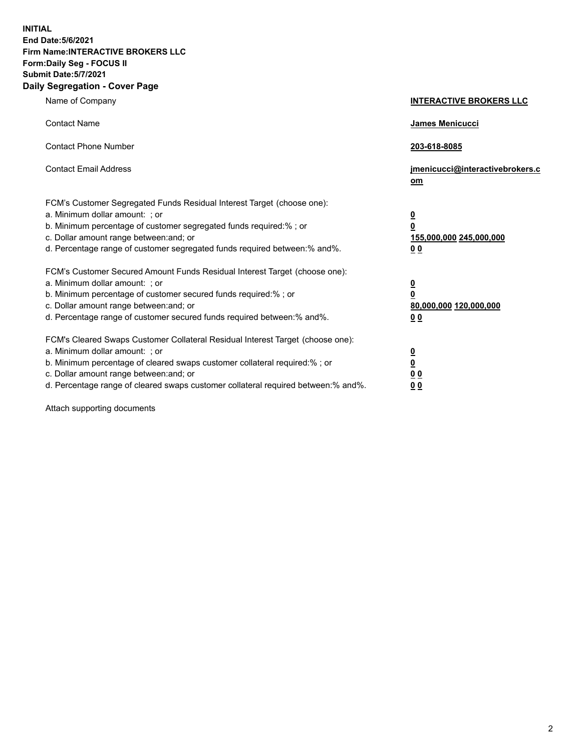**INITIAL End Date:5/6/2021 Firm Name:INTERACTIVE BROKERS LLC Form:Daily Seg - FOCUS II Submit Date:5/7/2021 Daily Segregation - Cover Page**

| Name of Company                                                                                                                                                                                                                                                                                                                | <b>INTERACTIVE BROKERS LLC</b>                                                                  |
|--------------------------------------------------------------------------------------------------------------------------------------------------------------------------------------------------------------------------------------------------------------------------------------------------------------------------------|-------------------------------------------------------------------------------------------------|
| <b>Contact Name</b>                                                                                                                                                                                                                                                                                                            | <b>James Menicucci</b>                                                                          |
| <b>Contact Phone Number</b>                                                                                                                                                                                                                                                                                                    | 203-618-8085                                                                                    |
| <b>Contact Email Address</b>                                                                                                                                                                                                                                                                                                   | jmenicucci@interactivebrokers.c<br>om                                                           |
| FCM's Customer Segregated Funds Residual Interest Target (choose one):<br>a. Minimum dollar amount: ; or<br>b. Minimum percentage of customer segregated funds required:% ; or<br>c. Dollar amount range between: and; or<br>d. Percentage range of customer segregated funds required between:% and%.                         | $\overline{\mathbf{0}}$<br>$\overline{\mathbf{0}}$<br>155,000,000 245,000,000<br>0 <sub>0</sub> |
| FCM's Customer Secured Amount Funds Residual Interest Target (choose one):<br>a. Minimum dollar amount: ; or<br>b. Minimum percentage of customer secured funds required:%; or<br>c. Dollar amount range between: and; or<br>d. Percentage range of customer secured funds required between:% and%.                            | $\overline{\mathbf{0}}$<br>$\mathbf 0$<br>80,000,000 120,000,000<br>0 <sub>0</sub>              |
| FCM's Cleared Swaps Customer Collateral Residual Interest Target (choose one):<br>a. Minimum dollar amount: ; or<br>b. Minimum percentage of cleared swaps customer collateral required:% ; or<br>c. Dollar amount range between: and; or<br>d. Percentage range of cleared swaps customer collateral required between:% and%. | $\overline{\mathbf{0}}$<br>$\underline{\mathbf{0}}$<br>0 <sub>0</sub><br>0 <sub>0</sub>         |

Attach supporting documents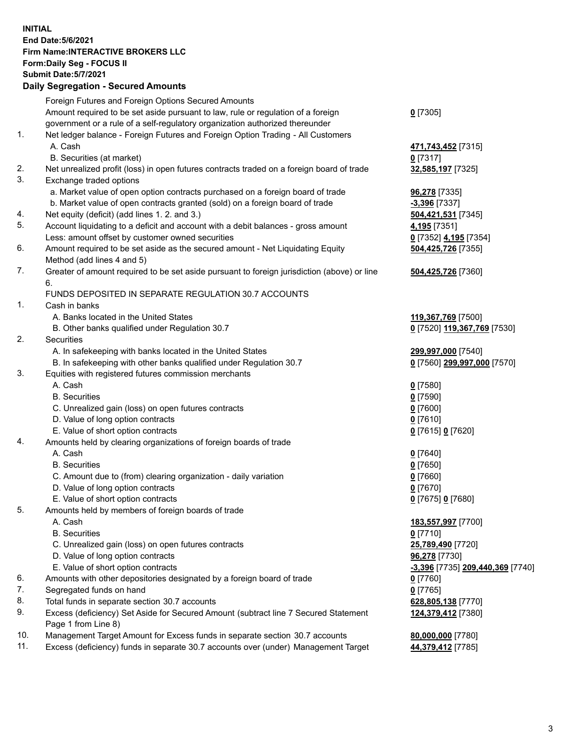**INITIAL End Date:5/6/2021 Firm Name:INTERACTIVE BROKERS LLC Form:Daily Seg - FOCUS II Submit Date:5/7/2021 Daily Segregation - Secured Amounts**

|     | Foreign Futures and Foreign Options Secured Amounts                                         |                                         |
|-----|---------------------------------------------------------------------------------------------|-----------------------------------------|
|     | Amount required to be set aside pursuant to law, rule or regulation of a foreign            | $0$ [7305]                              |
|     | government or a rule of a self-regulatory organization authorized thereunder                |                                         |
| 1.  | Net ledger balance - Foreign Futures and Foreign Option Trading - All Customers             |                                         |
|     | A. Cash                                                                                     | 471,743,452 [7315]                      |
|     | B. Securities (at market)                                                                   | $0$ [7317]                              |
| 2.  | Net unrealized profit (loss) in open futures contracts traded on a foreign board of trade   | 32,585,197 [7325]                       |
| 3.  | Exchange traded options                                                                     |                                         |
|     | a. Market value of open option contracts purchased on a foreign board of trade              | 96,278 [7335]                           |
|     | b. Market value of open contracts granted (sold) on a foreign board of trade                | -3,396 [7337]                           |
| 4.  | Net equity (deficit) (add lines 1. 2. and 3.)                                               | 504,421,531 [7345]                      |
| 5.  | Account liquidating to a deficit and account with a debit balances - gross amount           | 4,195 [7351]                            |
|     | Less: amount offset by customer owned securities                                            | 0 [7352] 4,195 [7354]                   |
| 6.  | Amount required to be set aside as the secured amount - Net Liquidating Equity              | 504,425,726 [7355]                      |
|     | Method (add lines 4 and 5)                                                                  |                                         |
| 7.  | Greater of amount required to be set aside pursuant to foreign jurisdiction (above) or line | 504,425,726 [7360]                      |
|     | 6.                                                                                          |                                         |
|     | FUNDS DEPOSITED IN SEPARATE REGULATION 30.7 ACCOUNTS                                        |                                         |
| 1.  | Cash in banks                                                                               |                                         |
|     | A. Banks located in the United States                                                       | 119,367,769 [7500]                      |
|     | B. Other banks qualified under Regulation 30.7                                              | 0 [7520] 119,367,769 [7530]             |
| 2.  | <b>Securities</b>                                                                           |                                         |
|     | A. In safekeeping with banks located in the United States                                   | 299,997,000 [7540]                      |
|     | B. In safekeeping with other banks qualified under Regulation 30.7                          | 0 [7560] 299,997,000 [7570]             |
| 3.  | Equities with registered futures commission merchants                                       |                                         |
|     | A. Cash                                                                                     | $0$ [7580]                              |
|     | <b>B.</b> Securities                                                                        | $0$ [7590]                              |
|     | C. Unrealized gain (loss) on open futures contracts                                         | $0$ [7600]                              |
|     | D. Value of long option contracts                                                           | $0$ [7610]                              |
|     | E. Value of short option contracts                                                          | 0 [7615] 0 [7620]                       |
| 4.  | Amounts held by clearing organizations of foreign boards of trade                           |                                         |
|     | A. Cash                                                                                     | $Q$ [7640]                              |
|     | <b>B.</b> Securities                                                                        | $0$ [7650]                              |
|     | C. Amount due to (from) clearing organization - daily variation                             | $0$ [7660]                              |
|     | D. Value of long option contracts                                                           | $0$ [7670]                              |
|     | E. Value of short option contracts                                                          | 0 [7675] 0 [7680]                       |
| 5.  | Amounts held by members of foreign boards of trade                                          |                                         |
|     | A. Cash                                                                                     | 183,557,997 [7700]                      |
|     | <b>B.</b> Securities                                                                        | $0$ [7710]                              |
|     | C. Unrealized gain (loss) on open futures contracts                                         | 25,789,490 [7720]                       |
|     | D. Value of long option contracts                                                           | 96,278 [7730]                           |
|     | E. Value of short option contracts                                                          | <u>-3,396</u> [7735] 209,440,369 [7740] |
| 6.  | Amounts with other depositories designated by a foreign board of trade                      | $0$ [7760]                              |
| 7.  | Segregated funds on hand                                                                    | $0$ [7765]                              |
| 8.  | Total funds in separate section 30.7 accounts                                               | 628,805,138 [7770]                      |
| 9.  | Excess (deficiency) Set Aside for Secured Amount (subtract line 7 Secured Statement         | 124,379,412 [7380]                      |
|     | Page 1 from Line 8)                                                                         |                                         |
| 10. | Management Target Amount for Excess funds in separate section 30.7 accounts                 | 80,000,000 [7780]                       |
| 11. | Excess (deficiency) funds in separate 30.7 accounts over (under) Management Target          | 44,379,412 [7785]                       |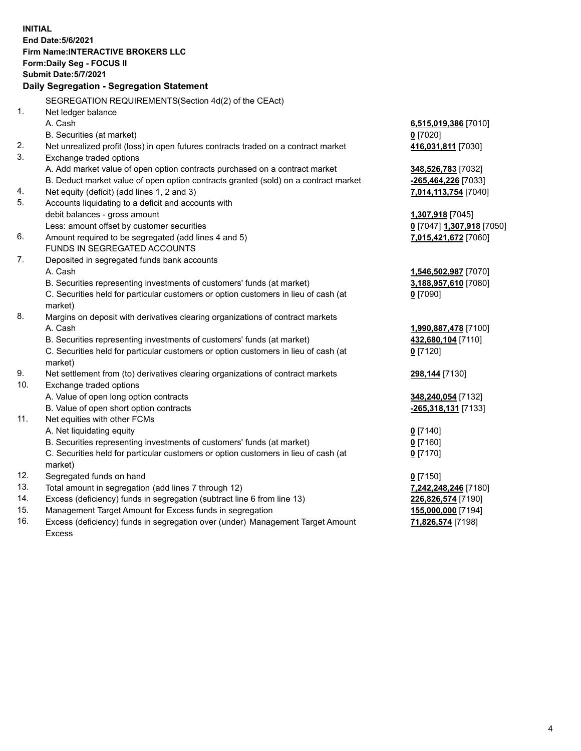**INITIAL End Date:5/6/2021 Firm Name:INTERACTIVE BROKERS LLC Form:Daily Seg - FOCUS II Submit Date:5/7/2021 Daily Segregation - Segregation Statement** SEGREGATION REQUIREMENTS(Section 4d(2) of the CEAct) 1. Net ledger balance A. Cash **6,515,019,386** [7010] B. Securities (at market) **0** [7020] 2. Net unrealized profit (loss) in open futures contracts traded on a contract market **416,031,811** [7030] 3. Exchange traded options A. Add market value of open option contracts purchased on a contract market **348,526,783** [7032] B. Deduct market value of open option contracts granted (sold) on a contract market **-265,464,226** [7033] 4. Net equity (deficit) (add lines 1, 2 and 3) **7,014,113,754** [7040] 5. Accounts liquidating to a deficit and accounts with debit balances - gross amount **1,307,918** [7045] Less: amount offset by customer securities **0** [7047] **1,307,918** [7050] 6. Amount required to be segregated (add lines 4 and 5) **7,015,421,672** [7060] FUNDS IN SEGREGATED ACCOUNTS 7. Deposited in segregated funds bank accounts A. Cash **1,546,502,987** [7070] B. Securities representing investments of customers' funds (at market) **3,188,957,610** [7080] C. Securities held for particular customers or option customers in lieu of cash (at market) **0** [7090] 8. Margins on deposit with derivatives clearing organizations of contract markets A. Cash **1,990,887,478** [7100] B. Securities representing investments of customers' funds (at market) **432,680,104** [7110] C. Securities held for particular customers or option customers in lieu of cash (at market) **0** [7120] 9. Net settlement from (to) derivatives clearing organizations of contract markets **298,144** [7130] 10. Exchange traded options A. Value of open long option contracts **348,240,054** [7132] B. Value of open short option contracts **-265,318,131** [7133] 11. Net equities with other FCMs A. Net liquidating equity **0** [7140] B. Securities representing investments of customers' funds (at market) **0** [7160] C. Securities held for particular customers or option customers in lieu of cash (at market) **0** [7170] 12. Segregated funds on hand **0** [7150] 13. Total amount in segregation (add lines 7 through 12) **7,242,248,246** [7180] 14. Excess (deficiency) funds in segregation (subtract line 6 from line 13) **226,826,574** [7190] 15. Management Target Amount for Excess funds in segregation **155,000,000** [7194]

16. Excess (deficiency) funds in segregation over (under) Management Target Amount Excess

**71,826,574** [7198]